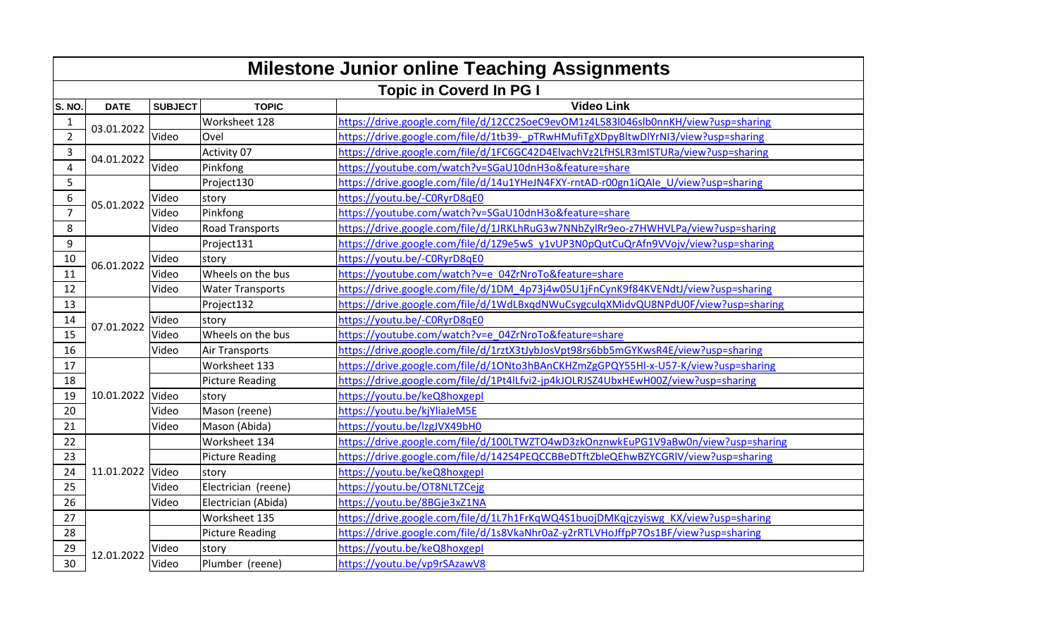|                | <b>Milestone Junior online Teaching Assignments</b> |                |                         |                                                                                    |  |  |
|----------------|-----------------------------------------------------|----------------|-------------------------|------------------------------------------------------------------------------------|--|--|
|                |                                                     |                |                         | <b>Topic in Coverd In PG I</b>                                                     |  |  |
| S. NO.         | <b>DATE</b>                                         | <b>SUBJECT</b> | <b>TOPIC</b>            | <b>Video Link</b>                                                                  |  |  |
| 1              |                                                     |                | Worksheet 128           | https://drive.google.com/file/d/12CC2SoeC9evOM1z4L583l046slb0nnKH/view?usp=sharing |  |  |
| $\overline{2}$ | 03.01.2022                                          | Video          | Ovel                    | https://drive.google.com/file/d/1tb39-pTRwHMufiTgXDpyBltwDlYrNI3/view?usp=sharing  |  |  |
| 3              | 04.01.2022                                          |                | Activity 07             | https://drive.google.com/file/d/1FC6GC42D4ElvachVz2LfHSLR3mISTURa/view?usp=sharing |  |  |
| $\overline{4}$ |                                                     | Video          | Pinkfong                | https://youtube.com/watch?v=SGaU10dnH3o&feature=share                              |  |  |
| 5              |                                                     |                | Project130              | https://drive.google.com/file/d/14u1YHeJN4FXY-rntAD-r00gn1iQAle_U/view?usp=sharing |  |  |
| 6              | 05.01.2022                                          | Video          | story                   | https://youtu.be/-C0RyrD8qE0                                                       |  |  |
| $\overline{7}$ |                                                     | Video          | Pinkfong                | https://youtube.com/watch?v=SGaU10dnH3o&feature=share                              |  |  |
| 8              |                                                     | Video          | <b>Road Transports</b>  | https://drive.google.com/file/d/1JRKLhRuG3w7NNbZylRr9eo-z7HWHVLPa/view?usp=sharing |  |  |
| 9              |                                                     |                | Project131              | https://drive.google.com/file/d/1Z9e5wS_y1vUP3N0pQutCuQrAfn9VVojv/view?usp=sharing |  |  |
| 10             | 06.01.2022                                          | Video          | story                   | https://youtu.be/-C0RyrD8qE0                                                       |  |  |
| 11             |                                                     | Video          | Wheels on the bus       | https://youtube.com/watch?v=e 04ZrNroTo&feature=share                              |  |  |
| 12             |                                                     | Video          | <b>Water Transports</b> | https://drive.google.com/file/d/1DM_4p73j4w05U1jFnCynK9f84KVENdtJ/view?usp=sharing |  |  |
| 13             |                                                     |                | Project132              | https://drive.google.com/file/d/1WdLBxqdNWuCsygculqXMidvQU8NPdU0F/view?usp=sharing |  |  |
| 14             | 07.01.2022                                          | Video          | story                   | https://youtu.be/-C0RyrD8qE0                                                       |  |  |
| 15             |                                                     | Video          | Wheels on the bus       | https://youtube.com/watch?v=e 04ZrNroTo&feature=share                              |  |  |
| 16             |                                                     | Video          | <b>Air Transports</b>   | https://drive.google.com/file/d/1rztX3tJybJosVpt98rs6bb5mGYKwsR4E/view?usp=sharing |  |  |
| 17             |                                                     |                | Worksheet 133           | https://drive.google.com/file/d/1ONto3hBAnCKHZmZgGPQY55HI-x-U57-K/view?usp=sharing |  |  |
| 18             |                                                     |                | <b>Picture Reading</b>  | https://drive.google.com/file/d/1Pt4ILfvi2-jp4kJOLRJSZ4UbxHEwH00Z/view?usp=sharing |  |  |
| 19             | 10.01.2022 Video                                    |                | story                   | https://youtu.be/keQ8hoxgepl                                                       |  |  |
| 20             |                                                     | Video          | Mason (reene)           | https://youtu.be/kjYliaJeM5E                                                       |  |  |
| 21             |                                                     | Video          | Mason (Abida)           | https://youtu.be/lzgJVX49bH0                                                       |  |  |
| 22             |                                                     |                | Worksheet 134           | https://drive.google.com/file/d/100LTWZTO4wD3zkOnznwkEuPG1V9aBw0n/view?usp=sharing |  |  |
| 23             |                                                     |                | <b>Picture Reading</b>  | https://drive.google.com/file/d/142S4PEQCCBBeDTftZbleQEhwBZYCGRlV/view?usp=sharing |  |  |
| 24             | 11.01.2022 Video                                    |                | story                   | https://youtu.be/keQ8hoxgepl                                                       |  |  |
| 25             |                                                     | Video          | Electrician (reene)     | https://youtu.be/OT8NLTZCejg                                                       |  |  |
| 26             |                                                     | Video          | Electrician (Abida)     | https://youtu.be/8BGje3xZ1NA                                                       |  |  |
| 27             |                                                     |                | Worksheet 135           | https://drive.google.com/file/d/1L7h1FrKqWQ4S1buojDMKqjczyiswg_KX/view?usp=sharing |  |  |
| 28             | 12.01.2022                                          |                | <b>Picture Reading</b>  | https://drive.google.com/file/d/1s8VkaNhr0aZ-y2rRTLVHoJffpP7Os1BF/view?usp=sharing |  |  |
| 29             |                                                     | Video          | story                   | https://youtu.be/keQ8hoxgepl                                                       |  |  |
| 30             |                                                     | Video          | Plumber (reene)         | https://youtu.be/vp9rSAzawV8                                                       |  |  |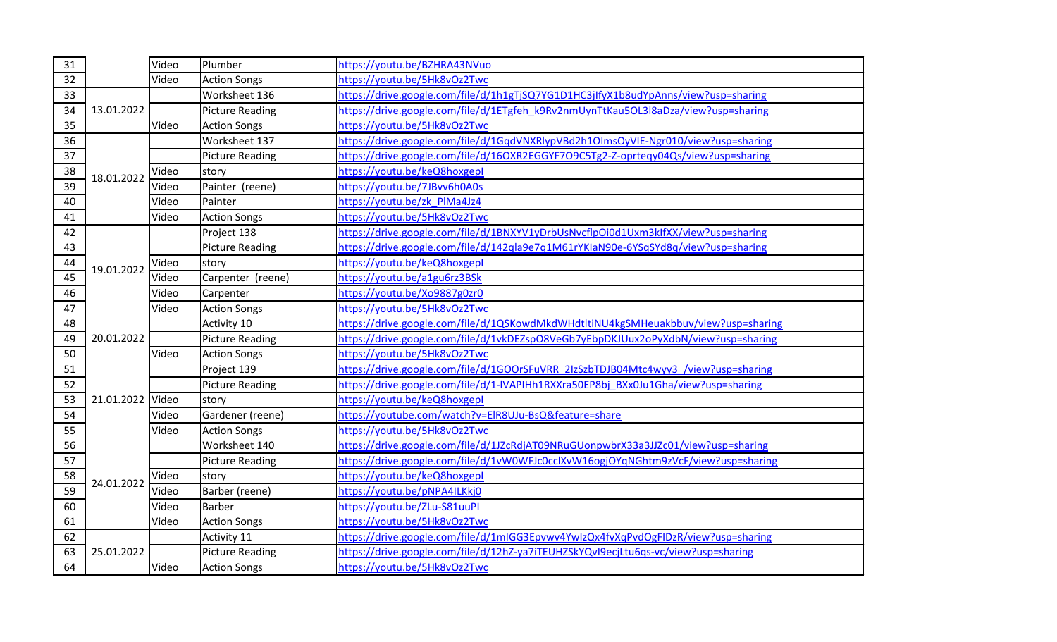| 31 |                  | Video | Plumber                | https://youtu.be/BZHRA43NVuo                                                       |
|----|------------------|-------|------------------------|------------------------------------------------------------------------------------|
| 32 |                  | Video | <b>Action Songs</b>    | https://youtu.be/5Hk8vOz2Twc                                                       |
| 33 |                  |       | Worksheet 136          | https://drive.google.com/file/d/1h1gTjSQ7YG1D1HC3jlfyX1b8udYpAnns/view?usp=sharing |
| 34 | 13.01.2022       |       | <b>Picture Reading</b> | https://drive.google.com/file/d/1ETgfeh k9Rv2nmUynTtKau5OL3l8aDza/view?usp=sharing |
| 35 |                  | Video | <b>Action Songs</b>    | https://youtu.be/5Hk8vOz2Twc                                                       |
| 36 |                  |       | Worksheet 137          | https://drive.google.com/file/d/1GqdVNXRlypVBd2h1OImsOyVIE-Ngr010/view?usp=sharing |
| 37 |                  |       | <b>Picture Reading</b> | https://drive.google.com/file/d/16OXR2EGGYF7O9C5Tg2-Z-oprteqy04Qs/view?usp=sharing |
| 38 | 18.01.2022       | Video | story                  | https://youtu.be/keQ8hoxgepl                                                       |
| 39 |                  | Video | Painter (reene)        | https://youtu.be/7JBvv6h0A0s                                                       |
| 40 |                  | Video | Painter                | https://youtu.be/zk PIMa4Jz4                                                       |
| 41 |                  | Video | <b>Action Songs</b>    | https://youtu.be/5Hk8vOz2Twc                                                       |
| 42 |                  |       | Project 138            | https://drive.google.com/file/d/1BNXYV1yDrbUsNvcflpOi0d1Uxm3kIfXX/view?usp=sharing |
| 43 |                  |       | <b>Picture Reading</b> | https://drive.google.com/file/d/142qla9e7q1M61rYKlaN90e-6YSqSYd8q/view?usp=sharing |
| 44 | 19.01.2022       | Video | story                  | https://youtu.be/keQ8hoxgepl                                                       |
| 45 |                  | Video | Carpenter (reene)      | https://youtu.be/a1gu6rz3BSk                                                       |
| 46 |                  | Video | Carpenter              | https://youtu.be/Xo9887g0zr0                                                       |
| 47 |                  | Video | <b>Action Songs</b>    | https://youtu.be/5Hk8vOz2Twc                                                       |
| 48 |                  |       | Activity 10            | https://drive.google.com/file/d/1QSKowdMkdWHdtltiNU4kgSMHeuakbbuv/view?usp=sharing |
| 49 | 20.01.2022       |       | <b>Picture Reading</b> | https://drive.google.com/file/d/1vkDEZspO8VeGb7yEbpDKJUux2oPyXdbN/view?usp=sharing |
| 50 |                  | Video | <b>Action Songs</b>    | https://youtu.be/5Hk8vOz2Twc                                                       |
| 51 |                  |       | Project 139            | https://drive.google.com/file/d/1GOOrSFuVRR_2IzSzbTDJB04Mtc4wyy3_/view?usp=sharing |
| 52 |                  |       | <b>Picture Reading</b> | https://drive.google.com/file/d/1-IVAPIHh1RXXra50EP8bj BXx0Ju1Gha/view?usp=sharing |
| 53 | 21.01.2022 Video |       | story                  | https://youtu.be/keQ8hoxgepl                                                       |
| 54 |                  | Video | Gardener (reene)       | https://youtube.com/watch?v=EIR8UJu-BsQ&feature=share                              |
| 55 |                  | Video | <b>Action Songs</b>    | https://youtu.be/5Hk8vOz2Twc                                                       |
| 56 |                  |       | Worksheet 140          | https://drive.google.com/file/d/1JZcRdjAT09NRuGUonpwbrX33a3JJZc01/view?usp=sharing |
| 57 |                  |       | <b>Picture Reading</b> | https://drive.google.com/file/d/1vW0WFJc0cclXvW16ogjOYqNGhtm9zVcF/view?usp=sharing |
| 58 | 24.01.2022       | Video | story                  | https://youtu.be/keQ8hoxgepl                                                       |
| 59 |                  | Video | Barber (reene)         | https://youtu.be/pNPA4ILKkj0                                                       |
| 60 |                  | Video | <b>Barber</b>          | https://youtu.be/ZLu-S81uuPI                                                       |
| 61 |                  | Video | <b>Action Songs</b>    | https://youtu.be/5Hk8vOz2Twc                                                       |
| 62 |                  |       | Activity 11            | https://drive.google.com/file/d/1mIGG3Epvwv4YwIzQx4fvXqPvdOgFIDzR/view?usp=sharing |
| 63 | 25.01.2022       |       | <b>Picture Reading</b> | https://drive.google.com/file/d/12hZ-ya7iTEUHZSkYQvI9ecjLtu6qs-vc/view?usp=sharing |
| 64 |                  | Video | <b>Action Songs</b>    | https://youtu.be/5Hk8vOz2Twc                                                       |